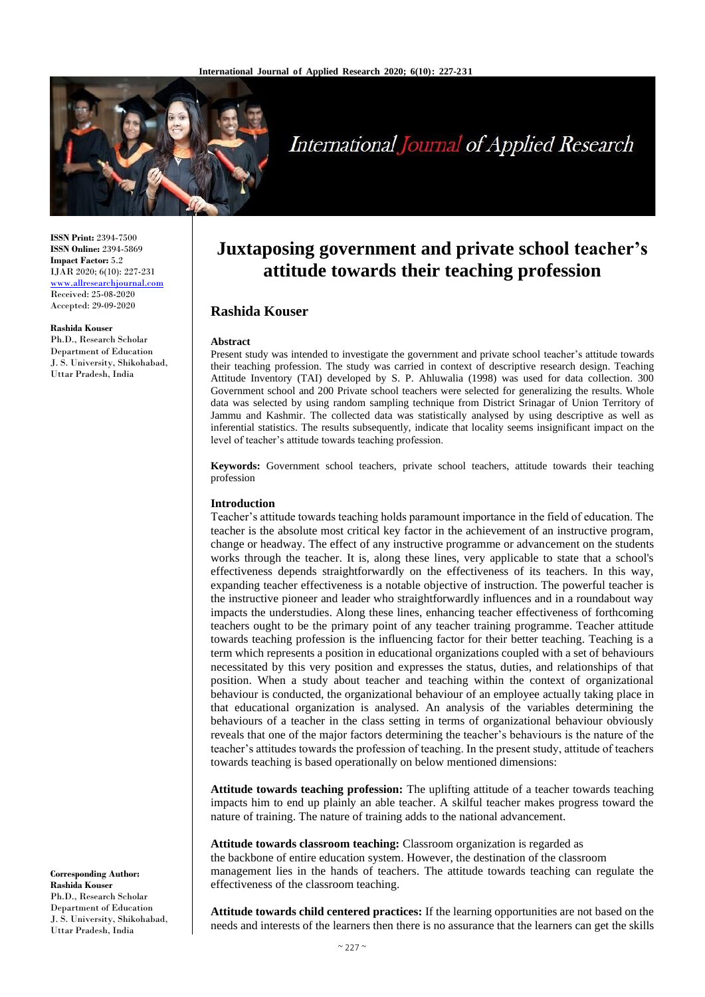

# International Journal of Applied Research

**ISSN Print:** 2394-7500 **ISSN Online:** 2394-5869 **Impact Factor:** 5.2 IJAR 2020; 6(10): 227-231 <www.allresearchjournal.com> Received: 25-08-2020 Accepted: 29-09-2020

#### **Rashida Kouser**

Ph.D., Research Scholar Department of Education J. S. University, Shikohabad, Uttar Pradesh, India

**Juxtaposing government and private school teacher's attitude towards their teaching profession**

# **Rashida Kouser**

#### **Abstract**

Present study was intended to investigate the government and private school teacher's attitude towards their teaching profession. The study was carried in context of descriptive research design. Teaching Attitude Inventory (TAI) developed by S. P. Ahluwalia (1998) was used for data collection. 300 Government school and 200 Private school teachers were selected for generalizing the results. Whole data was selected by using random sampling technique from District Srinagar of Union Territory of Jammu and Kashmir. The collected data was statistically analysed by using descriptive as well as inferential statistics. The results subsequently, indicate that locality seems insignificant impact on the level of teacher's attitude towards teaching profession.

**Keywords:** Government school teachers, private school teachers, attitude towards their teaching profession

#### **Introduction**

Teacher's attitude towards teaching holds paramount importance in the field of education. The teacher is the absolute most critical key factor in the achievement of an instructive program, change or headway. The effect of any instructive programme or advancement on the students works through the teacher. It is, along these lines, very applicable to state that a school's effectiveness depends straightforwardly on the effectiveness of its teachers. In this way, expanding teacher effectiveness is a notable objective of instruction. The powerful teacher is the instructive pioneer and leader who straightforwardly influences and in a roundabout way impacts the understudies. Along these lines, enhancing teacher effectiveness of forthcoming teachers ought to be the primary point of any teacher training programme. Teacher attitude towards teaching profession is the influencing factor for their better teaching. Teaching is a term which represents a position in educational organizations coupled with a set of behaviours necessitated by this very position and expresses the status, duties, and relationships of that position. When a study about teacher and teaching within the context of organizational behaviour is conducted, the organizational behaviour of an employee actually taking place in that educational organization is analysed. An analysis of the variables determining the behaviours of a teacher in the class setting in terms of organizational behaviour obviously reveals that one of the major factors determining the teacher's behaviours is the nature of the teacher's attitudes towards the profession of teaching. In the present study, attitude of teachers towards teaching is based operationally on below mentioned dimensions:

**Attitude towards teaching profession:** The uplifting attitude of a teacher towards teaching impacts him to end up plainly an able teacher. A skilful teacher makes progress toward the nature of training. The nature of training adds to the national advancement.

**Attitude towards classroom teaching:** Classroom organization is regarded as the backbone of entire education system. However, the destination of the classroom management lies in the hands of teachers. The attitude towards teaching can regulate the effectiveness of the classroom teaching.

**Attitude towards child centered practices:** If the learning opportunities are not based on the needs and interests of the learners then there is no assurance that the learners can get the skills

**Corresponding Author: Rashida Kouser** Ph.D., Research Scholar Department of Education J. S. University, Shikohabad, Uttar Pradesh, India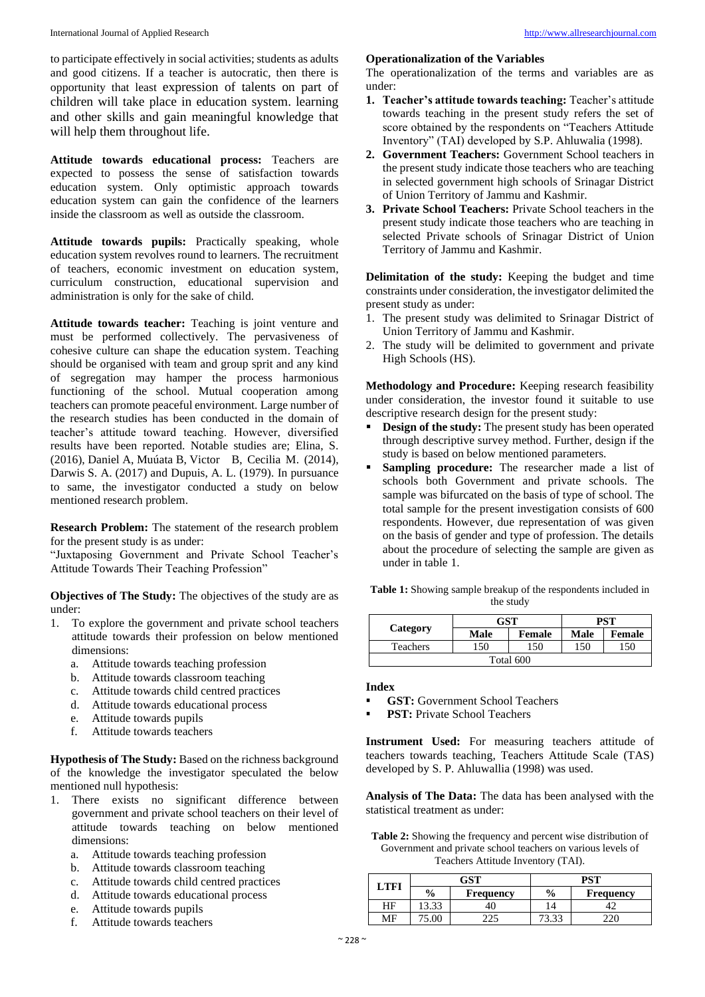to participate effectively in social activities; students as adults and good citizens. If a teacher is autocratic, then there is opportunity that least expression of talents on part of children will take place in education system. learning and other skills and gain meaningful knowledge that will help them throughout life.

**Attitude towards educational process:** Teachers are expected to possess the sense of satisfaction towards education system. Only optimistic approach towards education system can gain the confidence of the learners inside the classroom as well as outside the classroom.

**Attitude towards pupils:** Practically speaking, whole education system revolves round to learners. The recruitment of teachers, economic investment on education system, curriculum construction, educational supervision and administration is only for the sake of child.

**Attitude towards teacher:** Teaching is joint venture and must be performed collectively. The pervasiveness of cohesive culture can shape the education system. Teaching should be organised with team and group sprit and any kind of segregation may hamper the process harmonious functioning of the school. Mutual cooperation among teachers can promote peaceful environment. Large number of the research studies has been conducted in the domain of teacher's attitude toward teaching. However, diversified results have been reported. Notable studies are; Elina, S. (2016), Daniel A, Muúata B, Victor B, Cecilia M. (2014), Darwis S. A. (2017) and Dupuis, A. L. (1979). In pursuance to same, the investigator conducted a study on below mentioned research problem.

**Research Problem:** The statement of the research problem for the present study is as under:

"Juxtaposing Government and Private School Teacher's Attitude Towards Their Teaching Profession"

**Objectives of The Study:** The objectives of the study are as under:

- 1. To explore the government and private school teachers attitude towards their profession on below mentioned dimensions:
	- a. Attitude towards teaching profession
	- b. Attitude towards classroom teaching
	- c. Attitude towards child centred practices
	- d. Attitude towards educational process
	- e. Attitude towards pupils
	- f. Attitude towards teachers

**Hypothesis of The Study:** Based on the richness background of the knowledge the investigator speculated the below mentioned null hypothesis:

- 1. There exists no significant difference between government and private school teachers on their level of attitude towards teaching on below mentioned dimensions:
	- a. Attitude towards teaching profession
	- b. Attitude towards classroom teaching
	- c. Attitude towards child centred practices
	- d. Attitude towards educational process
	- e. Attitude towards pupils
	- f. Attitude towards teachers

## **Operationalization of the Variables**

The operationalization of the terms and variables are as under:

- **1. Teacher's attitude towards teaching:** Teacher's attitude towards teaching in the present study refers the set of score obtained by the respondents on "Teachers Attitude Inventory" (TAI) developed by S.P. Ahluwalia (1998).
- **2. Government Teachers:** Government School teachers in the present study indicate those teachers who are teaching in selected government high schools of Srinagar District of Union Territory of Jammu and Kashmir.
- **3. Private School Teachers:** Private School teachers in the present study indicate those teachers who are teaching in selected Private schools of Srinagar District of Union Territory of Jammu and Kashmir.

**Delimitation of the study:** Keeping the budget and time constraints under consideration, the investigator delimited the present study as under:

- 1. The present study was delimited to Srinagar District of Union Territory of Jammu and Kashmir.
- 2. The study will be delimited to government and private High Schools (HS).

**Methodology and Procedure:** Keeping research feasibility under consideration, the investor found it suitable to use descriptive research design for the present study:

- **Design of the study:** The present study has been operated through descriptive survey method. Further, design if the study is based on below mentioned parameters.
- **Sampling procedure:** The researcher made a list of schools both Government and private schools. The sample was bifurcated on the basis of type of school. The total sample for the present investigation consists of 600 respondents. However, due representation of was given on the basis of gender and type of profession. The details about the procedure of selecting the sample are given as under in table 1.

| <b>Table 1:</b> Showing sample breakup of the respondents included in |
|-----------------------------------------------------------------------|
| the study                                                             |

| Category  | GST         |        | PST         |        |  |  |
|-----------|-------------|--------|-------------|--------|--|--|
|           | <b>Male</b> | Female | <b>Male</b> | Female |  |  |
| Teachers  | 150         | 150    | 150         | 150    |  |  |
| Total 600 |             |        |             |        |  |  |

#### **Index**

- **GST:** Government School Teachers
- **PST:** Private School Teachers

**Instrument Used:** For measuring teachers attitude of teachers towards teaching, Teachers Attitude Scale (TAS) developed by S. P. Ahluwallia (1998) was used.

**Analysis of The Data:** The data has been analysed with the statistical treatment as under:

**Table 2:** Showing the frequency and percent wise distribution of Government and private school teachers on various levels of Teachers Attitude Inventory (TAI).

| T FFI | $GS^{\tau}$   |                  | DCT           |           |  |
|-------|---------------|------------------|---------------|-----------|--|
|       | $\frac{6}{6}$ | <b>Frequency</b> | $\frac{6}{6}$ | Frequency |  |
| ΗF    |               |                  |               |           |  |
| MЕ    |               |                  | .             |           |  |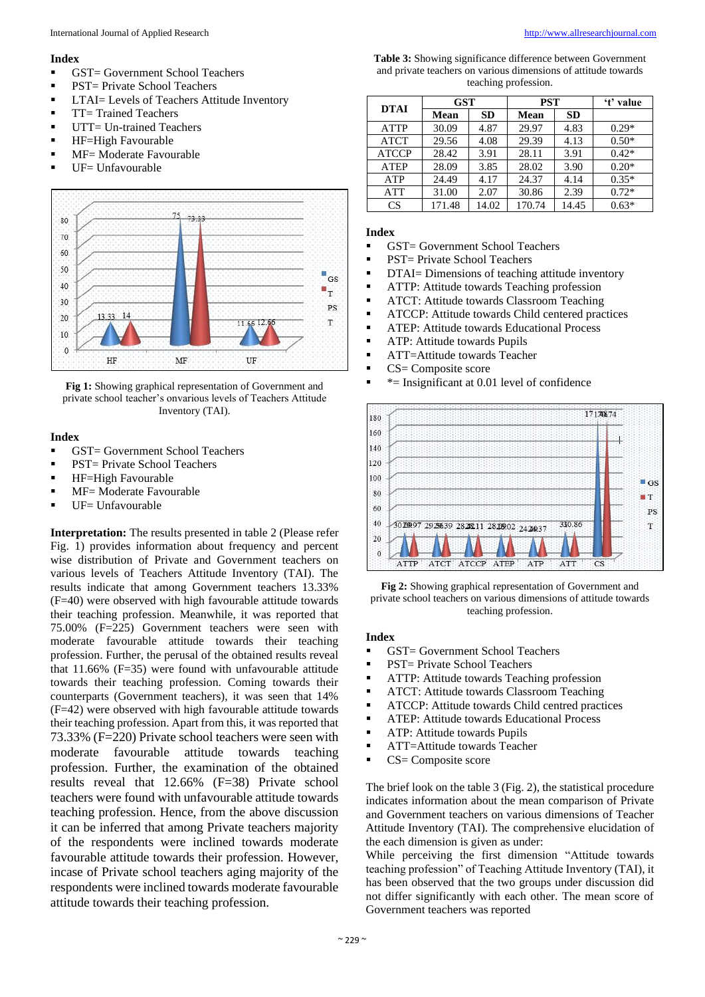#### **Index**

- GST= Government School Teachers
- PST= Private School Teachers
- LTAI= Levels of Teachers Attitude Inventory
- **•** TT= Trained Teachers
- **■** UTT= Un-trained Teachers
- **E** HF=High Favourable
- $\blacksquare$  MF= Moderate Favourable
- $\blacksquare$  UF= Unfavourable



**Fig 1:** Showing graphical representation of Government and private school teacher's onvarious levels of Teachers Attitude Inventory (TAI).

### **Index**

- GST= Government School Teachers
- PST= Private School Teachers
- **EXECTED** HF=High Favourable
- MF= Moderate Favourable
- UF= Unfavourable

**Interpretation:** The results presented in table 2 (Please refer Fig. 1) provides information about frequency and percent wise distribution of Private and Government teachers on various levels of Teachers Attitude Inventory (TAI). The results indicate that among Government teachers 13.33% (F=40) were observed with high favourable attitude towards their teaching profession. Meanwhile, it was reported that 75.00% (F=225) Government teachers were seen with moderate favourable attitude towards their teaching profession. Further, the perusal of the obtained results reveal that 11.66% (F=35) were found with unfavourable attitude towards their teaching profession. Coming towards their counterparts (Government teachers), it was seen that 14% (F=42) were observed with high favourable attitude towards their teaching profession. Apart from this, it was reported that 73.33% (F=220) Private school teachers were seen with moderate favourable attitude towards teaching profession. Further, the examination of the obtained results reveal that 12.66% (F=38) Private school teachers were found with unfavourable attitude towards teaching profession. Hence, from the above discussion it can be inferred that among Private teachers majority of the respondents were inclined towards moderate favourable attitude towards their profession. However, incase of Private school teachers aging majority of the respondents were inclined towards moderate favourable attitude towards their teaching profession.

**Table 3:** Showing significance difference between Government and private teachers on various dimensions of attitude towards teaching profession.

| DTAI         | <b>GST</b> |           | <b>PST</b> |           | 't' value |
|--------------|------------|-----------|------------|-----------|-----------|
|              | Mean       | <b>SD</b> | Mean       | <b>SD</b> |           |
| <b>ATTP</b>  | 30.09      | 4.87      | 29.97      | 4.83      | $0.29*$   |
| <b>ATCT</b>  | 29.56      | 4.08      | 29.39      | 4.13      | $0.50*$   |
| <b>ATCCP</b> | 28.42      | 3.91      | 28.11      | 3.91      | $0.42*$   |
| <b>ATEP</b>  | 28.09      | 3.85      | 28.02      | 3.90      | $0.20*$   |
| <b>ATP</b>   | 24.49      | 4.17      | 24.37      | 4.14      | $0.35*$   |
| <b>ATT</b>   | 31.00      | 2.07      | 30.86      | 2.39      | $0.72*$   |
| CS           | 171.48     | 14.02     | 170.74     | 14.45     | $0.63*$   |

## **Index**

- GST= Government School Teachers
- PST= Private School Teachers
- **DTAI**= Dimensions of teaching attitude inventory
- **EXECUTE:** Attitude towards Teaching profession
- **EXECUT:** Attitude towards Classroom Teaching
- **EXECP:** Attitude towards Child centered practices
- **EXECUTE:** Attitude towards Educational Process
- **EXECUTE:** Attitude towards Pupils
- ATT=Attitude towards Teacher
- CS= Composite score
- $\blacksquare$  \*= Insignificant at 0.01 level of confidence



**Fig 2:** Showing graphical representation of Government and private school teachers on various dimensions of attitude towards teaching profession.

#### **Index**

- GST= Government School Teachers
- PST= Private School Teachers
- **EXECUTE:** Attitude towards Teaching profession
- **EXECUT:** Attitude towards Classroom Teaching
- ATCCP: Attitude towards Child centred practices
- ATEP: Attitude towards Educational Process
- $\blacksquare$  ATP: Attitude towards Pupils
- ATT=Attitude towards Teacher
- CS= Composite score

The brief look on the table 3 (Fig. 2), the statistical procedure indicates information about the mean comparison of Private and Government teachers on various dimensions of Teacher Attitude Inventory (TAI). The comprehensive elucidation of the each dimension is given as under:

While perceiving the first dimension "Attitude towards teaching profession" of Teaching Attitude Inventory (TAI), it has been observed that the two groups under discussion did not differ significantly with each other. The mean score of Government teachers was reported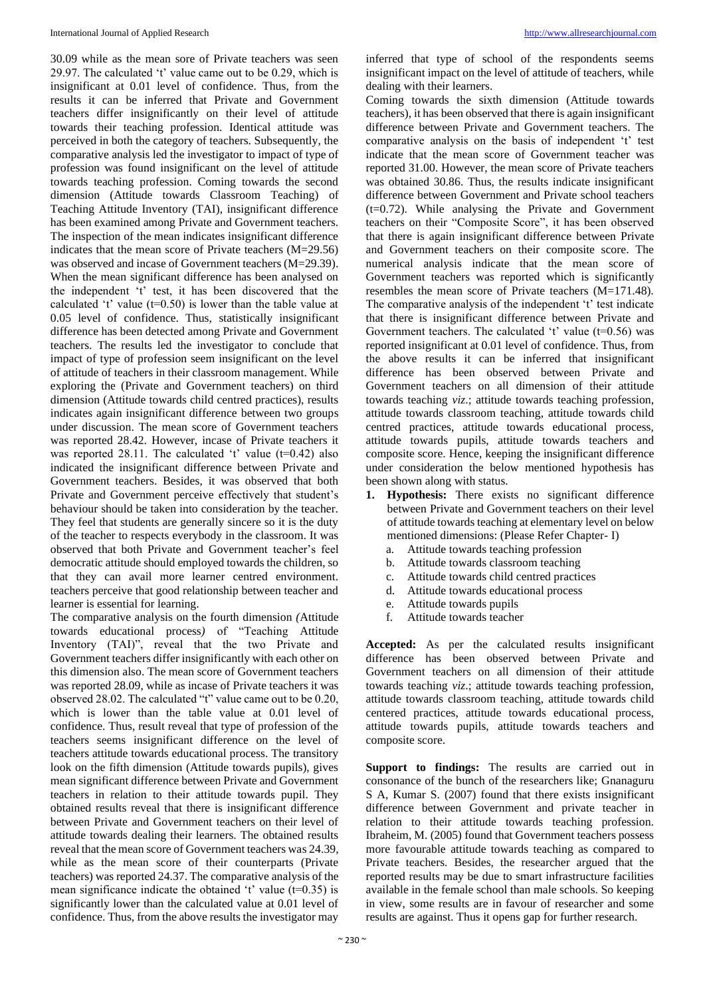30.09 while as the mean sore of Private teachers was seen 29.97. The calculated 't' value came out to be 0.29, which is insignificant at 0.01 level of confidence. Thus, from the results it can be inferred that Private and Government teachers differ insignificantly on their level of attitude towards their teaching profession. Identical attitude was perceived in both the category of teachers. Subsequently, the comparative analysis led the investigator to impact of type of profession was found insignificant on the level of attitude towards teaching profession. Coming towards the second dimension (Attitude towards Classroom Teaching) of Teaching Attitude Inventory (TAI), insignificant difference has been examined among Private and Government teachers. The inspection of the mean indicates insignificant difference indicates that the mean score of Private teachers (M=29.56) was observed and incase of Government teachers (M=29.39). When the mean significant difference has been analysed on the independent 't' test, it has been discovered that the calculated 't' value (t=0.50) is lower than the table value at 0.05 level of confidence. Thus, statistically insignificant difference has been detected among Private and Government teachers. The results led the investigator to conclude that impact of type of profession seem insignificant on the level of attitude of teachers in their classroom management. While exploring the (Private and Government teachers) on third dimension (Attitude towards child centred practices), results indicates again insignificant difference between two groups under discussion. The mean score of Government teachers was reported 28.42. However, incase of Private teachers it was reported 28.11. The calculated 't' value  $(t=0.42)$  also indicated the insignificant difference between Private and Government teachers. Besides, it was observed that both Private and Government perceive effectively that student's behaviour should be taken into consideration by the teacher. They feel that students are generally sincere so it is the duty of the teacher to respects everybody in the classroom. It was observed that both Private and Government teacher's feel democratic attitude should employed towards the children, so that they can avail more learner centred environment. teachers perceive that good relationship between teacher and learner is essential for learning.

The comparative analysis on the fourth dimension *(*Attitude towards educational process*)* of "Teaching Attitude Inventory (TAI)", reveal that the two Private and Government teachers differ insignificantly with each other on this dimension also. The mean score of Government teachers was reported 28.09, while as incase of Private teachers it was observed 28.02. The calculated "t" value came out to be 0.20, which is lower than the table value at 0.01 level of confidence. Thus, result reveal that type of profession of the teachers seems insignificant difference on the level of teachers attitude towards educational process. The transitory look on the fifth dimension (Attitude towards pupils), gives mean significant difference between Private and Government teachers in relation to their attitude towards pupil. They obtained results reveal that there is insignificant difference between Private and Government teachers on their level of attitude towards dealing their learners. The obtained results reveal that the mean score of Government teachers was 24.39, while as the mean score of their counterparts (Private teachers) was reported 24.37. The comparative analysis of the mean significance indicate the obtained 't' value  $(t=0.35)$  is significantly lower than the calculated value at 0.01 level of confidence. Thus, from the above results the investigator may

inferred that type of school of the respondents seems insignificant impact on the level of attitude of teachers, while dealing with their learners.

Coming towards the sixth dimension (Attitude towards teachers), it has been observed that there is again insignificant difference between Private and Government teachers. The comparative analysis on the basis of independent 't' test indicate that the mean score of Government teacher was reported 31.00. However, the mean score of Private teachers was obtained 30.86. Thus, the results indicate insignificant difference between Government and Private school teachers  $(t=0.72)$ . While analysing the Private and Government teachers on their "Composite Score", it has been observed that there is again insignificant difference between Private and Government teachers on their composite score. The numerical analysis indicate that the mean score of Government teachers was reported which is significantly resembles the mean score of Private teachers (M=171.48). The comparative analysis of the independent 't' test indicate that there is insignificant difference between Private and Government teachers. The calculated 't' value  $(t=0.56)$  was reported insignificant at 0.01 level of confidence. Thus, from the above results it can be inferred that insignificant difference has been observed between Private and Government teachers on all dimension of their attitude towards teaching *viz*.; attitude towards teaching profession, attitude towards classroom teaching, attitude towards child centred practices, attitude towards educational process, attitude towards pupils, attitude towards teachers and composite score. Hence, keeping the insignificant difference under consideration the below mentioned hypothesis has been shown along with status.

- **1. Hypothesis:** There exists no significant difference between Private and Government teachers on their level of attitude towards teaching at elementary level on below mentioned dimensions: (Please Refer Chapter- I)
	- a. Attitude towards teaching profession
	- b. Attitude towards classroom teaching
	- c. Attitude towards child centred practices
	- d. Attitude towards educational process
	- e. Attitude towards pupils
	- f. Attitude towards teacher

**Accepted:** As per the calculated results insignificant difference has been observed between Private and Government teachers on all dimension of their attitude towards teaching *viz*.; attitude towards teaching profession, attitude towards classroom teaching, attitude towards child centered practices, attitude towards educational process, attitude towards pupils, attitude towards teachers and composite score.

**Support to findings:** The results are carried out in consonance of the bunch of the researchers like; Gnanaguru S A, Kumar S. (2007) found that there exists insignificant difference between Government and private teacher in relation to their attitude towards teaching profession. Ibraheim, M. (2005) found that Government teachers possess more favourable attitude towards teaching as compared to Private teachers. Besides, the researcher argued that the reported results may be due to smart infrastructure facilities available in the female school than male schools. So keeping in view, some results are in favour of researcher and some results are against. Thus it opens gap for further research.